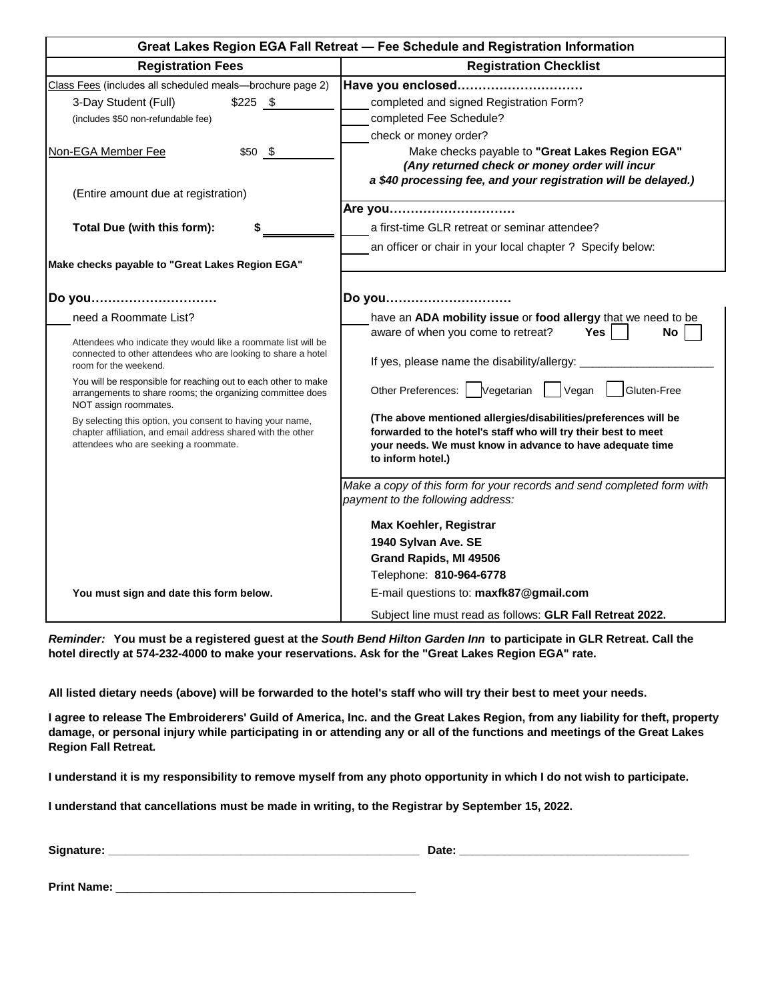| Great Lakes Region EGA Fall Retreat - Fee Schedule and Registration Information                                                                                                                                                                                                                                                                       |                                                                                                                                                                                                                                                                                                                               |  |
|-------------------------------------------------------------------------------------------------------------------------------------------------------------------------------------------------------------------------------------------------------------------------------------------------------------------------------------------------------|-------------------------------------------------------------------------------------------------------------------------------------------------------------------------------------------------------------------------------------------------------------------------------------------------------------------------------|--|
| <b>Registration Fees</b>                                                                                                                                                                                                                                                                                                                              | <b>Registration Checklist</b>                                                                                                                                                                                                                                                                                                 |  |
| Class Fees (includes all scheduled meals-brochure page 2)<br>3-Day Student (Full)<br>$$225$ \$<br>(includes \$50 non-refundable fee)<br>Non-EGA Member Fee<br>$$50\$$                                                                                                                                                                                 | Have you enclosed<br>completed and signed Registration Form?<br>completed Fee Schedule?<br>check or money order?<br>Make checks payable to "Great Lakes Region EGA"                                                                                                                                                           |  |
| (Entire amount due at registration)<br>Total Due (with this form):                                                                                                                                                                                                                                                                                    | (Any returned check or money order will incur<br>a \$40 processing fee, and your registration will be delayed.)<br>Are you<br>a first-time GLR retreat or seminar attendee?<br>an officer or chair in your local chapter ? Specify below:                                                                                     |  |
| Make checks payable to "Great Lakes Region EGA"<br>Do you<br>need a Roommate List?<br>Attendees who indicate they would like a roommate list will be<br>connected to other attendees who are looking to share a hotel                                                                                                                                 | Do you<br>have an ADA mobility issue or food allergy that we need to be<br><b>Yes</b><br>aware of when you come to retreat?<br>No                                                                                                                                                                                             |  |
| room for the weekend.<br>You will be responsible for reaching out to each other to make<br>arrangements to share rooms; the organizing committee does<br>NOT assign roommates.<br>By selecting this option, you consent to having your name,<br>chapter affiliation, and email address shared with the other<br>attendees who are seeking a roommate. | If yes, please name the disability/allergy:<br>Other Preferences:   Vegetarian<br>Vegan<br>Gluten-Free<br>(The above mentioned allergies/disabilities/preferences will be<br>forwarded to the hotel's staff who will try their best to meet<br>your needs. We must know in advance to have adequate time<br>to inform hotel.) |  |
| You must sign and date this form below.                                                                                                                                                                                                                                                                                                               | Make a copy of this form for your records and send completed form with<br>payment to the following address:<br>Max Koehler, Registrar<br>1940 Sylvan Ave. SE<br>Grand Rapids, MI 49506<br>Telephone: 810-964-6778<br>E-mail questions to: maxfk87@gmail.com<br>Subject line must read as follows: GLR Fall Retreat 2022.      |  |

*Reminder:* **You must be a registered guest at th***e South Bend Hilton Garden Inn* **to participate in GLR Retreat. Call the hotel directly at 574-232-4000 to make your reservations. Ask for the "Great Lakes Region EGA" rate.** 

**All listed dietary needs (above) will be forwarded to the hotel's staff who will try their best to meet your needs.**

**I agree to release The Embroiderers' Guild of America, Inc. and the Great Lakes Region, from any liability for theft, property damage, or personal injury while participating in or attending any or all of the functions and meetings of the Great Lakes Region Fall Retreat***.*

**I understand it is my responsibility to remove myself from any photo opportunity in which I do not wish to participate.**

**I understand that cancellations must be made in writing, to the Registrar by September 15, 2022.** 

| Signature: | Date: |
|------------|-------|
|            |       |

**Print Name:** \_\_\_\_\_\_\_\_\_\_\_\_\_\_\_\_\_\_\_\_\_\_\_\_\_\_\_\_\_\_\_\_\_\_\_\_\_\_\_\_\_\_\_\_\_\_\_\_\_\_\_\_